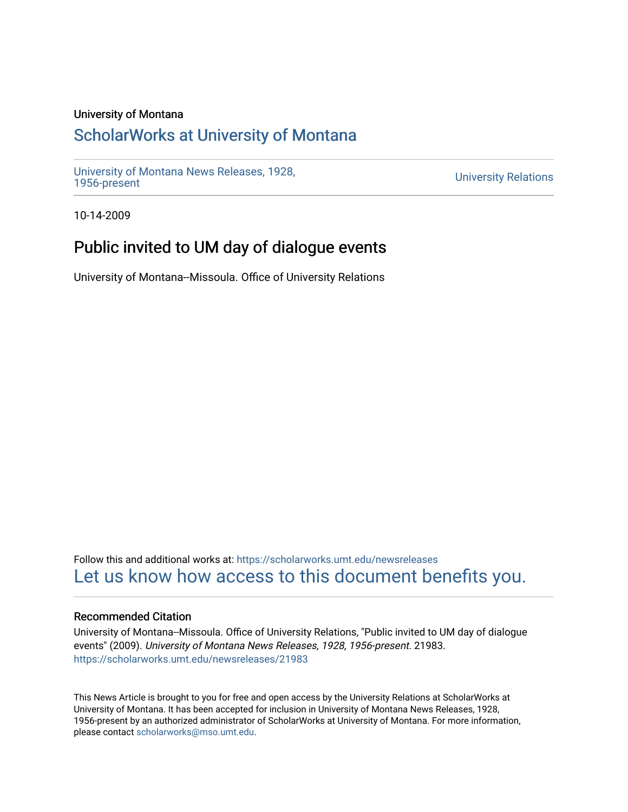### University of Montana

# [ScholarWorks at University of Montana](https://scholarworks.umt.edu/)

[University of Montana News Releases, 1928,](https://scholarworks.umt.edu/newsreleases) 

**University Relations** 

10-14-2009

# Public invited to UM day of dialogue events

University of Montana--Missoula. Office of University Relations

Follow this and additional works at: [https://scholarworks.umt.edu/newsreleases](https://scholarworks.umt.edu/newsreleases?utm_source=scholarworks.umt.edu%2Fnewsreleases%2F21983&utm_medium=PDF&utm_campaign=PDFCoverPages) [Let us know how access to this document benefits you.](https://goo.gl/forms/s2rGfXOLzz71qgsB2) 

### Recommended Citation

University of Montana--Missoula. Office of University Relations, "Public invited to UM day of dialogue events" (2009). University of Montana News Releases, 1928, 1956-present. 21983. [https://scholarworks.umt.edu/newsreleases/21983](https://scholarworks.umt.edu/newsreleases/21983?utm_source=scholarworks.umt.edu%2Fnewsreleases%2F21983&utm_medium=PDF&utm_campaign=PDFCoverPages) 

This News Article is brought to you for free and open access by the University Relations at ScholarWorks at University of Montana. It has been accepted for inclusion in University of Montana News Releases, 1928, 1956-present by an authorized administrator of ScholarWorks at University of Montana. For more information, please contact [scholarworks@mso.umt.edu.](mailto:scholarworks@mso.umt.edu)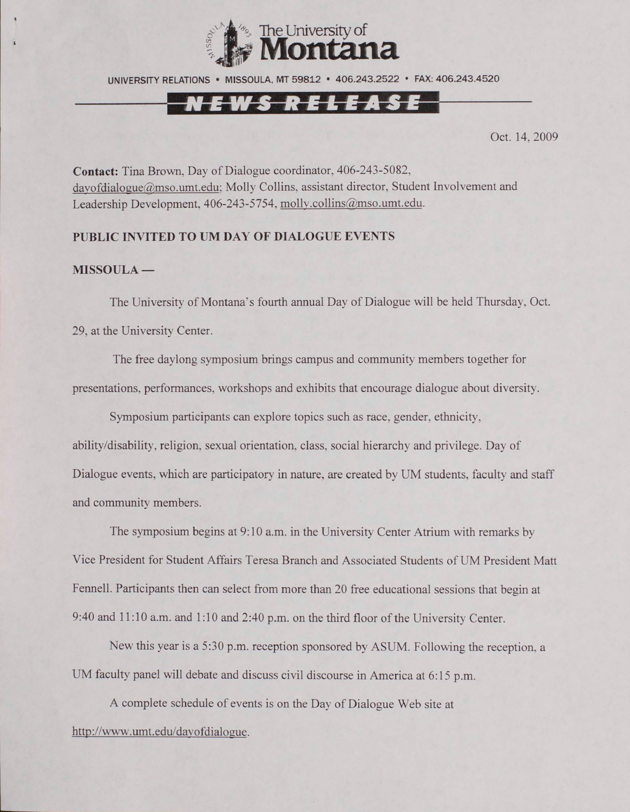

UNIVERSITY RELATIONS • MISSOULA. MT 59812 • 406.243.2522 • FAX: 406.243.4520

## N E W S R E L E A S E

Oct. 14, 2009

**Contact:** Tina Brown, Day of Dialogue coordinator. 406-243-5082, dayofdialogue@mso.umt.edu; Molly Collins, assistant director, Student Involvement and Leadership Development, 406-243-5754, molly.collins@mso.umt.edu.

#### **PUBLIC INVITED TO UM DAY OF DIALOGUE EVENTS**

#### **MISSOULA —**

The University of Montana's fourth annual Day of Dialogue will be held Thursday, Oct. 29, at the University Center.

The free daylong symposium brings campus and community members together for presentations, performances, workshops and exhibits that encourage dialogue about diversity.

Symposium participants can explore topics such as race, gender, ethnicity, ability/disability, religion, sexual orientation, class, social hierarchy and privilege. Day of Dialogue events, which are participatory in nature, are created by UM students, faculty and staff and community members.

The symposium begins at 9:10 a.m. in the University Center Atrium with remarks by Vice President for Student Affairs Teresa Branch and Associated Students of UM President Matt Fennell. Participants then can select from more than 20 free educational sessions that begin at 9:40 and 11:10 a.m. and 1:10 and 2:40 p.m. on the third floor of the University Center.

New this year is a 5:30 p.m. reception sponsored by ASUM. Following the reception, a UM faculty panel will debate and discuss civil discourse in America at 6:15 p.m.

A complete schedule of events is on the Day of Dialogue Web site at <http://www.umt.edu/davofdialogue>.